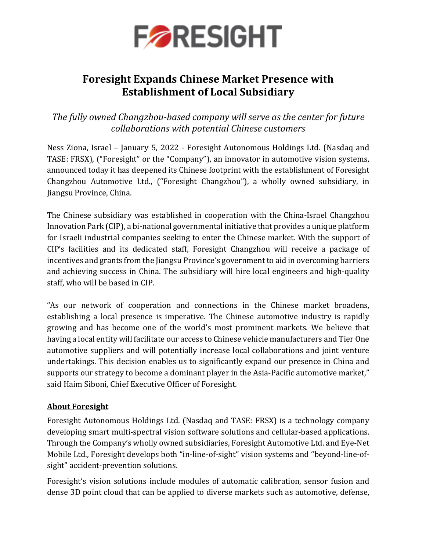

# **Foresight Expands Chinese Market Presence with Establishment of Local Subsidiary**

*The fully owned Changzhou-based company will serve as the center for future collaborations with potential Chinese customers*

Ness Ziona, Israel – January 5, 2022 - Foresight Autonomous Holdings Ltd. (Nasdaq and TASE: FRSX), ("Foresight" or the "Company"), an innovator in automotive vision systems, announced today it has deepened its Chinese footprint with the establishment of Foresight Changzhou Automotive Ltd., ("Foresight Changzhou"), a wholly owned subsidiary, in Jiangsu Province, China.

The Chinese subsidiary was established in cooperation with the China-Israel Changzhou Innovation Park (CIP), a bi-national governmental initiative that provides a unique platform for Israeli industrial companies seeking to enter the Chinese market. With the support of CIP's facilities and its dedicated staff, Foresight Changzhou will receive a package of incentives and grants from the Jiangsu Province's government to aid in overcoming barriers and achieving success in China. The subsidiary will hire local engineers and high-quality staff, who will be based in CIP.

"As our network of cooperation and connections in the Chinese market broadens, establishing a local presence is imperative. The Chinese automotive industry is rapidly growing and has become one of the world's most prominent markets. We believe that having a local entity will facilitate our access to Chinese vehicle manufacturers and Tier One automotive suppliers and will potentially increase local collaborations and joint venture undertakings. This decision enables us to significantly expand our presence in China and supports our strategy to become a dominant player in the Asia-Pacific automotive market," said Haim Siboni, Chief Executive Officer of Foresight.

### **About Foresight**

Foresight Autonomous Holdings Ltd. (Nasdaq and TASE: FRSX) is a technology company developing smart multi-spectral vision software solutions and cellular-based applications. Through the Company's wholly owned subsidiaries, Foresight Automotive Ltd. and Eye-Net Mobile Ltd., Foresight develops both "in-line-of-sight" vision systems and "beyond-line-ofsight" accident-prevention solutions.

Foresight's vision solutions include modules of automatic calibration, sensor fusion and dense 3D point cloud that can be applied to diverse markets such as automotive, defense,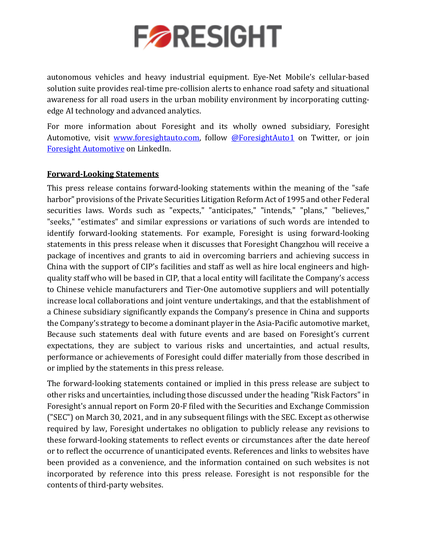

autonomous vehicles and heavy industrial equipment. Eye-Net Mobile's cellular-based solution suite provides real-time pre-collision alerts to enhance road safety and situational awareness for all road users in the urban mobility environment by incorporating cuttingedge AI technology and advanced analytics.

For more information about Foresight and its wholly owned subsidiary, Foresight Automotive, visit www.foresightauto.com, follow [@ForesightAuto1](https://twitter.com/ForesightAuto1) on Twitter, or join Foresight [Automotive](https://www.linkedin.com/company/foresight-automotive/) on LinkedIn.

### **Forward-Looking Statements**

This press release contains forward-looking statements within the meaning of the "safe harbor" provisions of the Private Securities Litigation Reform Act of 1995 and other Federal securities laws. Words such as "expects," "anticipates," "intends," "plans," "believes," "seeks," "estimates" and similar expressions or variations of such words are intended to identify forward-looking statements. For example, Foresight is using forward-looking statements in this press release when it discusses that Foresight Changzhou will receive a package of incentives and grants to aid in overcoming barriers and achieving success in China with the support of CIP's facilities and staff as well as hire local engineers and highquality staff who will be based in CIP, that a local entity will facilitate the Company's access to Chinese vehicle manufacturers and Tier-One automotive suppliers and will potentially increase local collaborations and joint venture undertakings, and that the establishment of a Chinese subsidiary significantly expands the Company's presence in China and supports the Company's strategy to become a dominant player in the Asia-Pacific automotive market. Because such statements deal with future events and are based on Foresight's current expectations, they are subject to various risks and uncertainties, and actual results, performance or achievements of Foresight could differ materially from those described in or implied by the statements in this press release.

The forward-looking statements contained or implied in this press release are subject to other risks and uncertainties, including those discussed under the heading "Risk Factors"in Foresight's annual report on Form 20-F filed with the Securities and Exchange Commission ("SEC") on March 30, 2021, and in any subsequent filings with the SEC. Except as otherwise required by law, Foresight undertakes no obligation to publicly release any revisions to these forward-looking statements to reflect events or circumstances after the date hereof or to reflect the occurrence of unanticipated events. References and links to websites have been provided as a convenience, and the information contained on such websites is not incorporated by reference into this press release. Foresight is not responsible for the contents of third-party websites.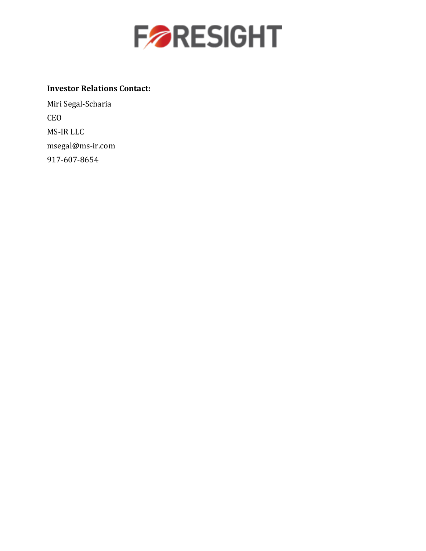

## **Investor Relations Contact:**

Miri Segal-Scharia CEO MS-IR LLC [msegal@ms-ir.com](mailto:msegal@ms-ir.com) 917-607-8654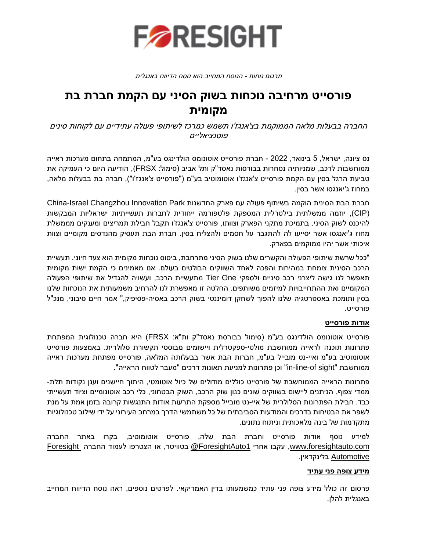

תרגום נוחות - הנוסח המחייב הוא נוסח הדיווח באנגלית

## **פורסייט מרחיבה נוכחות בשוק הסיני עם הקמת חברת בת מקומית**

החברה בבעלות מלאה הממוקמת בצ'אנגז'ו תשמש כמרכז לשיתופי פעולה עתידיים עם לקוחות סינים פוטנציאליים

נס ציונה, ישראל, 5 בינואר, 2022 - חברת פורסייט אוטונומס הולדינגס בע"מ, המתמחה בתחום מערכות ראייה ממוחשבות לרכב, שמניותיה נסחרות בבורסות נאסד"ק ותל אביב (סימול: FRSX), הודיעה היום כי העמיקה את טביעת הרגל בסין עם הקמת פורסייט צ'אנגז'ו אוטומוטיב בע"מ )"פורסייט צ'אנגז'ו"(, חברה בת בבעלות מלאה, במחוז ג'יאנגסו אשר בסיו.

חברת הבת הסינית הוקמה בשיתוף פעולה עם פארק החדשנות China-Israel Changzhou Innovation Park )CIP), יוזמה ממשלתית בילטרלית המספקת פלטפורמה ייחודית לחברות תעשייתיות ישראליות המבקשות להיכנס לשוק הסיני. בתמיכת מתקני הפארק וצוותו, פורסייט צ'אנגז' ו תקבל חבילת תמריצים ומענקים מממשלת מחוז ג'יאנגסו אשר יסייעו לה להתגבר על חסמים ולהצליח בסין. חברת הבת תעסיק מהנדסים מקומיים וצוות איכותי אשר יהיו ממוקמים בפארק.

"ככל שרשת שיתופי הפעולה והקשרים שלנו בשוק הסיני מתרחבת, ביסוס נוכחות מקומית הוא צעד חיוני. תעשיית הרכב הסינית צומחת במהירות והפכה לאחד השווקים הבולטים בעולם. אנו מאמינים כי הקמת ישות מקומית תאפשר לנו גישה ליצרני רכב סיניים ולספקי One Tier מתעשיית הרכב , ועשויה להגדיל את שיתופי הפעולה המקומיים ואת ההתחייבויות למיזמים משותפים. החלטה זו מאפשרת לנו להרחיב משמעותית את הנוכחות שלנו בסין ותומכת באסטרטגיה שלנו להפוך לשחקן דומיננטי בשוק הרכב באסיה-פסיפיק," אמר חיים סיבוני, מנכ"ל פורסייט.

#### **אודות פורסייט**

פורסייט אוטונומס הולדינגס בע"מ )סימול בבורסת נאסד"ק ות"א: FRSX )היא חברה טכנולוגית המפתחת פתרונות תוכנה לראייה ממוחשבת מולטי-ספקטרלית ויישומים מבוססי תקשורת סלולרית. באמצעות פורסייט אוטומוטיב בע"מ ואיי-נט מובייל בע"מ, חברות הבת אשר בבעלותה המלאה, פורסייט מפתחת מערכות ראייה ממוחשבת "sight of-line-in "וכן פתרונות למניעת תאונות דרכים "מעבר לטווח הראייה".

פתרונות הראייה הממוחשבת של פורסייט כוללים מודולים של כיול אוטומטי, היתוך חיישנים וענן נקודות תלת-ממדי צפוף, הניתנים ליישום בשווקים שונים כגון שוק הרכב, השוק הבטחוני, כלי רכב אוטונומיים וציוד תעשייתי כבד. חבילת הפתרונות הסלולרית של איי-נט מובייל מספקת התרעות אודות התנגשות קרובה בזמן אמת על מנת לשפר את הבטיחות בדרכים והמודעות הסביבתית של כל משתמשי הדרך במרחב העירוני על ידי שילוב טכנולוגיות מתקדמות של בינה מלאכותית וניתוח נתונים.

למידע נוסף אודות פורסייט וחברת הבת שלה, פורסייט אוטומוטיב, בקרו באתר החברה [com.foresightauto.www](http://www.foresightauto.com/), עקבו אחרי [1ForesightAuto](https://twitter.com/ForesightAuto1/) @בטוויטר, או הצטרפו לעמוד החברה [Foresight](https://www.linkedin.com/company/10469458/) [Automotive](https://www.linkedin.com/company/10469458/) בלינקדאין .

#### **מידע צופה פני עתיד**

פרסום זה כולל מידע צופה פני עתיד כמשמעותו בדין האמריקאי. לפרטים נוספים, ראה נוסח הדיווח המחייב באנגלית להלן.